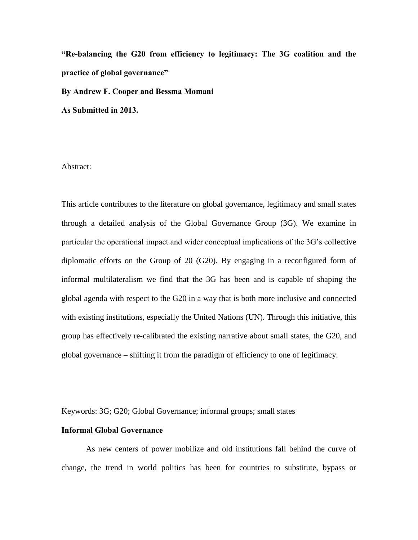**"Re-balancing the G20 from efficiency to legitimacy: The 3G coalition and the practice of global governance"**

**By Andrew F. Cooper and Bessma Momani**

**As Submitted in 2013.**

Abstract:

This article contributes to the literature on global governance, legitimacy and small states through a detailed analysis of the Global Governance Group (3G). We examine in particular the operational impact and wider conceptual implications of the 3G's collective diplomatic efforts on the Group of 20 (G20). By engaging in a reconfigured form of informal multilateralism we find that the 3G has been and is capable of shaping the global agenda with respect to the G20 in a way that is both more inclusive and connected with existing institutions, especially the United Nations (UN). Through this initiative, this group has effectively re-calibrated the existing narrative about small states, the G20, and global governance – shifting it from the paradigm of efficiency to one of legitimacy.

Keywords: 3G; G20; Global Governance; informal groups; small states

## **Informal Global Governance**

As new centers of power mobilize and old institutions fall behind the curve of change, the trend in world politics has been for countries to substitute, bypass or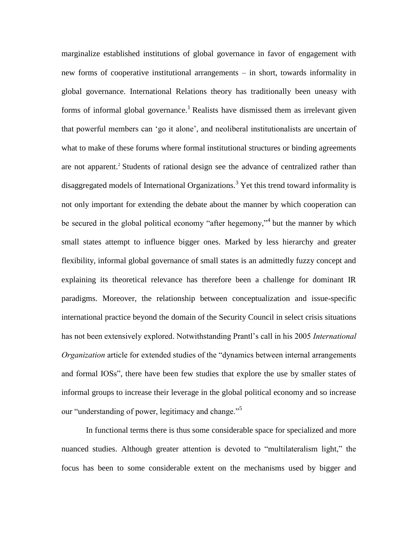marginalize established institutions of global governance in favor of engagement with new forms of cooperative institutional arrangements – in short, towards informality in global governance. International Relations theory has traditionally been uneasy with forms of informal global governance.<sup>1</sup> Realists have dismissed them as irrelevant given that powerful members can 'go it alone', and neoliberal institutionalists are uncertain of what to make of these forums where formal institutional structures or binding agreements are not apparent.<sup>2</sup> Students of rational design see the advance of centralized rather than disaggregated models of International Organizations.<sup>3</sup> Yet this trend toward informality is not only important for extending the debate about the manner by which cooperation can be secured in the global political economy "after hegemony,"<sup>4</sup> but the manner by which small states attempt to influence bigger ones. Marked by less hierarchy and greater flexibility, informal global governance of small states is an admittedly fuzzy concept and explaining its theoretical relevance has therefore been a challenge for dominant IR paradigms. Moreover, the relationship between conceptualization and issue-specific international practice beyond the domain of the Security Council in select crisis situations has not been extensively explored. Notwithstanding Prantl's call in his 2005 *International Organization* article for extended studies of the "dynamics between internal arrangements" and formal IOSs", there have been few studies that explore the use by smaller states of informal groups to increase their leverage in the global political economy and so increase our "understanding of power, legitimacy and change."<sup>5</sup>

In functional terms there is thus some considerable space for specialized and more nuanced studies. Although greater attention is devoted to "multilateralism light," the focus has been to some considerable extent on the mechanisms used by bigger and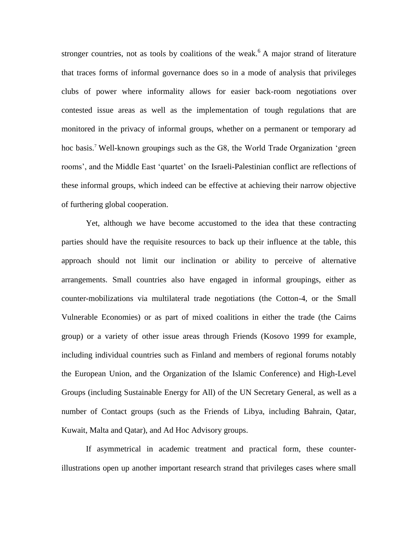stronger countries, not as tools by coalitions of the weak.<sup>6</sup> A major strand of literature that traces forms of informal governance does so in a mode of analysis that privileges clubs of power where informality allows for easier back-room negotiations over contested issue areas as well as the implementation of tough regulations that are monitored in the privacy of informal groups, whether on a permanent or temporary ad hoc basis.<sup>7</sup> Well-known groupings such as the G8, the World Trade Organization 'green rooms', and the Middle East 'quartet' on the Israeli-Palestinian conflict are reflections of these informal groups, which indeed can be effective at achieving their narrow objective of furthering global cooperation.

Yet, although we have become accustomed to the idea that these contracting parties should have the requisite resources to back up their influence at the table, this approach should not limit our inclination or ability to perceive of alternative arrangements. Small countries also have engaged in informal groupings, either as counter-mobilizations via multilateral trade negotiations (the Cotton-4, or the Small Vulnerable Economies) or as part of mixed coalitions in either the trade (the Cairns group) or a variety of other issue areas through Friends (Kosovo 1999 for example, including individual countries such as Finland and members of regional forums notably the European Union, and the Organization of the Islamic Conference) and High-Level Groups (including Sustainable Energy for All) of the UN Secretary General, as well as a number of Contact groups (such as the Friends of Libya, including Bahrain, Qatar, Kuwait, Malta and Qatar), and Ad Hoc Advisory groups.

If asymmetrical in academic treatment and practical form, these counterillustrations open up another important research strand that privileges cases where small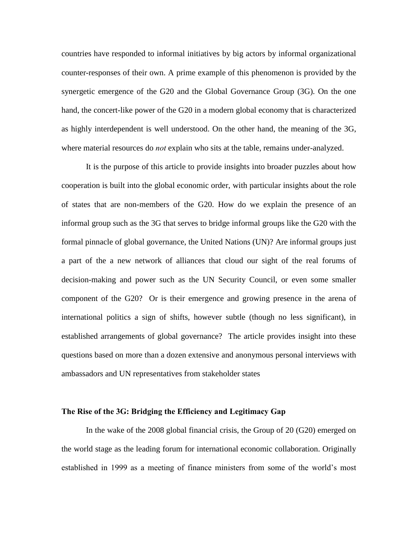countries have responded to informal initiatives by big actors by informal organizational counter-responses of their own. A prime example of this phenomenon is provided by the synergetic emergence of the G20 and the Global Governance Group (3G). On the one hand, the concert-like power of the G20 in a modern global economy that is characterized as highly interdependent is well understood. On the other hand, the meaning of the 3G, where material resources do *not* explain who sits at the table, remains under-analyzed.

It is the purpose of this article to provide insights into broader puzzles about how cooperation is built into the global economic order, with particular insights about the role of states that are non-members of the G20. How do we explain the presence of an informal group such as the 3G that serves to bridge informal groups like the G20 with the formal pinnacle of global governance, the United Nations (UN)? Are informal groups just a part of the a new network of alliances that cloud our sight of the real forums of decision-making and power such as the UN Security Council, or even some smaller component of the G20? Or is their emergence and growing presence in the arena of international politics a sign of shifts, however subtle (though no less significant), in established arrangements of global governance? The article provides insight into these questions based on more than a dozen extensive and anonymous personal interviews with ambassadors and UN representatives from stakeholder states

## **The Rise of the 3G: Bridging the Efficiency and Legitimacy Gap**

In the wake of the 2008 global financial crisis, the Group of 20 (G20) emerged on the world stage as the leading forum for international economic collaboration. Originally established in 1999 as a meeting of finance ministers from some of the world's most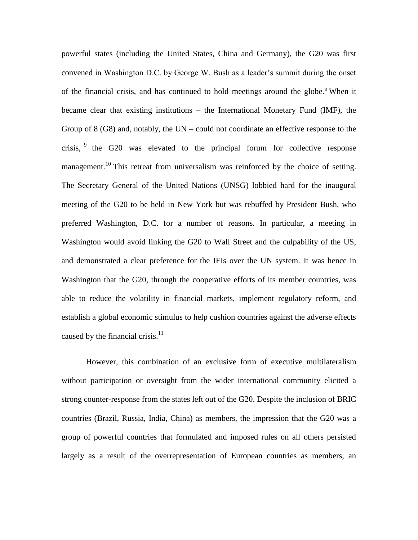powerful states (including the United States, China and Germany), the G20 was first convened in Washington D.C. by George W. Bush as a leader's summit during the onset of the financial crisis, and has continued to hold meetings around the globe.<sup>8</sup> When it became clear that existing institutions – the International Monetary Fund (IMF), the Group of  $8$  (G8) and, notably, the UN – could not coordinate an effective response to the crisis,  $9$  the G20 was elevated to the principal forum for collective response management.<sup>10</sup> This retreat from universalism was reinforced by the choice of setting. The Secretary General of the United Nations (UNSG) lobbied hard for the inaugural meeting of the G20 to be held in New York but was rebuffed by President Bush, who preferred Washington, D.C. for a number of reasons. In particular, a meeting in Washington would avoid linking the G20 to Wall Street and the culpability of the US, and demonstrated a clear preference for the IFIs over the UN system. It was hence in Washington that the G20, through the cooperative efforts of its member countries, was able to reduce the volatility in financial markets, implement regulatory reform, and establish a global economic stimulus to help cushion countries against the adverse effects caused by the financial crisis.<sup>11</sup>

However, this combination of an exclusive form of executive multilateralism without participation or oversight from the wider international community elicited a strong counter-response from the states left out of the G20. Despite the inclusion of BRIC countries (Brazil, Russia, India, China) as members, the impression that the G20 was a group of powerful countries that formulated and imposed rules on all others persisted largely as a result of the overrepresentation of European countries as members, an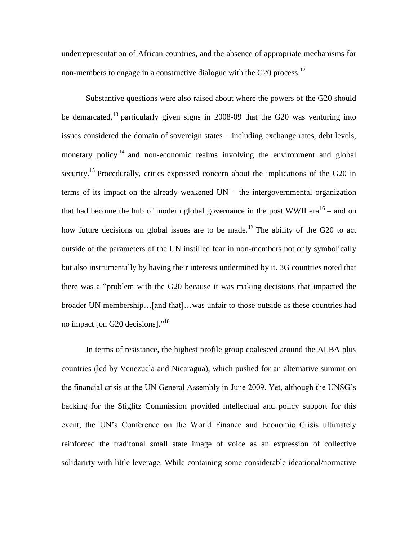underrepresentation of African countries, and the absence of appropriate mechanisms for non-members to engage in a constructive dialogue with the G20 process.<sup>12</sup>

Substantive questions were also raised about where the powers of the G20 should be demarcated,<sup>13</sup> particularly given signs in 2008-09 that the G20 was venturing into issues considered the domain of sovereign states – including exchange rates, debt levels, monetary policy<sup>14</sup> and non-economic realms involving the environment and global security.<sup>15</sup> Procedurally, critics expressed concern about the implications of the G20 in terms of its impact on the already weakened UN – the intergovernmental organization that had become the hub of modern global governance in the post WWII era $^{16}$  – and on how future decisions on global issues are to be made.<sup>17</sup> The ability of the G20 to act outside of the parameters of the UN instilled fear in non-members not only symbolically but also instrumentally by having their interests undermined by it. 3G countries noted that there was a "problem with the G20 because it was making decisions that impacted the broader UN membership…[and that]…was unfair to those outside as these countries had no impact [on G20 decisions]."<sup>18</sup>

In terms of resistance, the highest profile group coalesced around the ALBA plus countries (led by Venezuela and Nicaragua), which pushed for an alternative summit on the financial crisis at the UN General Assembly in June 2009. Yet, although the UNSG's backing for the Stiglitz Commission provided intellectual and policy support for this event, the UN's Conference on the World Finance and Economic Crisis ultimately reinforced the traditonal small state image of voice as an expression of collective solidarirty with little leverage. While containing some considerable ideational/normative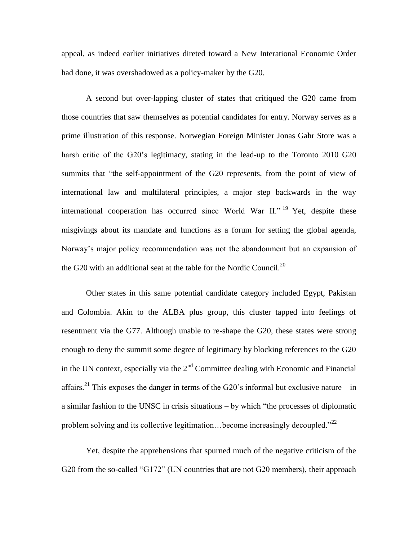appeal, as indeed earlier initiatives direted toward a New Interational Economic Order had done, it was overshadowed as a policy-maker by the G20.

A second but over-lapping cluster of states that critiqued the G20 came from those countries that saw themselves as potential candidates for entry. Norway serves as a prime illustration of this response. Norwegian Foreign Minister Jonas Gahr Store was a harsh critic of the G20's legitimacy, stating in the lead-up to the Toronto 2010 G20 summits that "the self-appointment of the G20 represents, from the point of view of international law and multilateral principles, a major step backwards in the way international cooperation has occurred since World War  $II.^{19}$  Yet, despite these misgivings about its mandate and functions as a forum for setting the global agenda, Norway's major policy recommendation was not the abandonment but an expansion of the G20 with an additional seat at the table for the Nordic Council.<sup>20</sup>

Other states in this same potential candidate category included Egypt, Pakistan and Colombia. Akin to the ALBA plus group, this cluster tapped into feelings of resentment via the G77. Although unable to re-shape the G20, these states were strong enough to deny the summit some degree of legitimacy by blocking references to the G20 in the UN context, especially via the  $2<sup>nd</sup>$  Committee dealing with Economic and Financial affairs.<sup>21</sup> This exposes the danger in terms of the G20's informal but exclusive nature – in a similar fashion to the UNSC in crisis situations – by which "the processes of diplomatic problem solving and its collective legitimation...become increasingly decoupled." $^{22}$ 

Yet, despite the apprehensions that spurned much of the negative criticism of the G20 from the so-called "G172" (UN countries that are not G20 members), their approach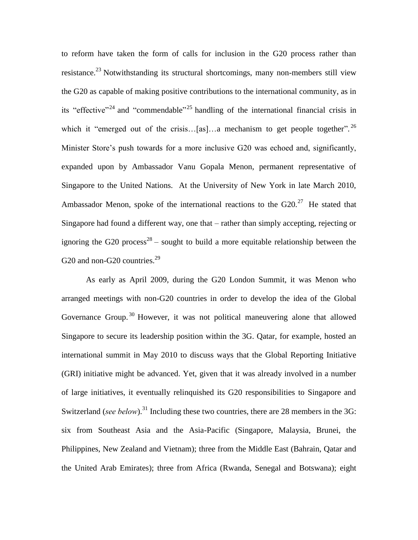to reform have taken the form of calls for inclusion in the G20 process rather than resistance.<sup>23</sup> Notwithstanding its structural shortcomings, many non-members still view the G20 as capable of making positive contributions to the international community, as in its "effective"<sup>24</sup> and "commendable"<sup>25</sup> handling of the international financial crisis in which it "emerged out of the crisis...[as]...a mechanism to get people together".<sup>26</sup> Minister Store's push towards for a more inclusive G20 was echoed and, significantly, expanded upon by Ambassador Vanu Gopala Menon, permanent representative of Singapore to the United Nations. At the University of New York in late March 2010, Ambassador Menon, spoke of the international reactions to the  $G20<sup>27</sup>$  He stated that Singapore had found a different way, one that – rather than simply accepting, rejecting or ignoring the G20 process<sup>28</sup> – sought to build a more equitable relationship between the G20 and non-G20 countries. $2^9$ 

As early as April 2009, during the G20 London Summit, it was Menon who arranged meetings with non-G20 countries in order to develop the idea of the Global Governance Group.<sup>30</sup> However, it was not political maneuvering alone that allowed Singapore to secure its leadership position within the 3G. Qatar, for example, hosted an international summit in May 2010 to discuss ways that the Global Reporting Initiative (GRI) initiative might be advanced. Yet, given that it was already involved in a number of large initiatives, it eventually relinquished its G20 responsibilities to Singapore and Switzerland (*see below*).<sup>31</sup> Including these two countries, there are 28 members in the 3G: six from Southeast Asia and the Asia-Pacific (Singapore, Malaysia, Brunei, the Philippines, New Zealand and Vietnam); three from the Middle East (Bahrain, Qatar and the United Arab Emirates); three from Africa (Rwanda, Senegal and Botswana); eight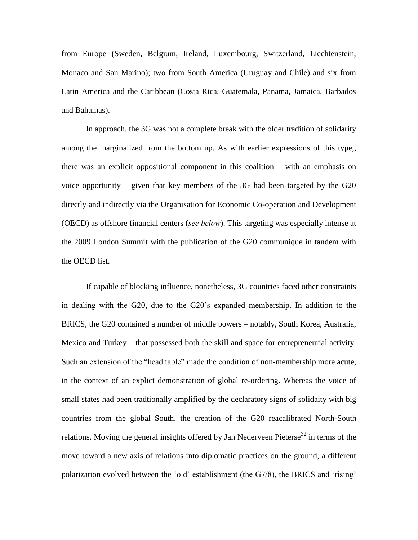from Europe (Sweden, Belgium, Ireland, Luxembourg, Switzerland, Liechtenstein, Monaco and San Marino); two from South America (Uruguay and Chile) and six from Latin America and the Caribbean (Costa Rica, Guatemala, Panama, Jamaica, Barbados and Bahamas).

In approach, the 3G was not a complete break with the older tradition of solidarity among the marginalized from the bottom up. As with earlier expressions of this type,, there was an explicit oppositional component in this coalition – with an emphasis on voice opportunity – given that key members of the 3G had been targeted by the G20 directly and indirectly via the Organisation for Economic Co-operation and Development (OECD) as offshore financial centers (*see below*). This targeting was especially intense at the 2009 London Summit with the publication of the G20 communiqué in tandem with the OECD list.

If capable of blocking influence, nonetheless, 3G countries faced other constraints in dealing with the G20, due to the G20's expanded membership. In addition to the BRICS, the G20 contained a number of middle powers – notably, South Korea, Australia, Mexico and Turkey – that possessed both the skill and space for entrepreneurial activity. Such an extension of the "head table" made the condition of non-membership more acute, in the context of an explict demonstration of global re-ordering. Whereas the voice of small states had been tradtionally amplified by the declaratory signs of solidaity with big countries from the global South, the creation of the G20 reacalibrated North-South relations. Moving the general insights offered by Jan Nederveen Pieterse<sup>32</sup> in terms of the move toward a new axis of relations into diplomatic practices on the ground, a different polarization evolved between the 'old' establishment (the G7/8), the BRICS and 'rising'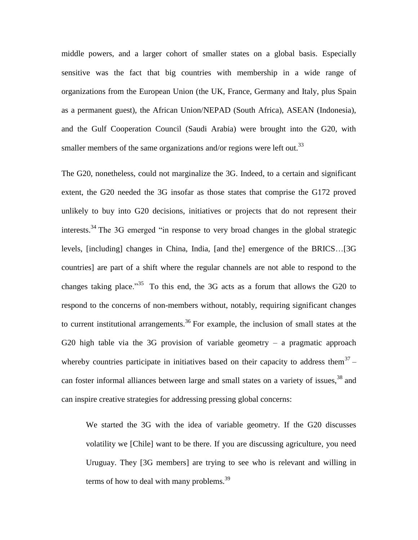middle powers, and a larger cohort of smaller states on a global basis. Especially sensitive was the fact that big countries with membership in a wide range of organizations from the European Union (the UK, France, Germany and Italy, plus Spain as a permanent guest), the African Union/NEPAD (South Africa), ASEAN (Indonesia), and the Gulf Cooperation Council (Saudi Arabia) were brought into the G20, with smaller members of the same organizations and/or regions were left out.<sup>33</sup>

The G20, nonetheless, could not marginalize the 3G. Indeed, to a certain and significant extent, the G20 needed the 3G insofar as those states that comprise the G172 proved unlikely to buy into G20 decisions, initiatives or projects that do not represent their interests.<sup>34</sup> The 3G emerged "in response to very broad changes in the global strategic levels, [including] changes in China, India, [and the] emergence of the BRICS…[3G countries] are part of a shift where the regular channels are not able to respond to the changes taking place.<sup>35</sup> To this end, the 3G acts as a forum that allows the G20 to respond to the concerns of non-members without, notably, requiring significant changes to current institutional arrangements.<sup>36</sup> For example, the inclusion of small states at the G20 high table via the 3G provision of variable geometry  $-$  a pragmatic approach whereby countries participate in initiatives based on their capacity to address them<sup>37</sup> – can foster informal alliances between large and small states on a variety of issues, <sup>38</sup> and can inspire creative strategies for addressing pressing global concerns:

We started the 3G with the idea of variable geometry. If the G20 discusses volatility we [Chile] want to be there. If you are discussing agriculture, you need Uruguay. They [3G members] are trying to see who is relevant and willing in terms of how to deal with many problems. $^{39}$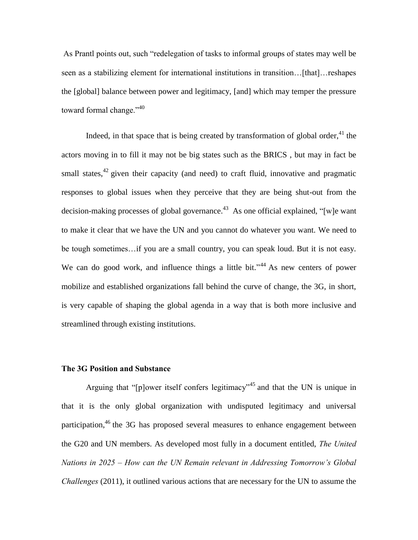As Prantl points out, such "redelegation of tasks to informal groups of states may well be seen as a stabilizing element for international institutions in transition…[that]…reshapes the [global] balance between power and legitimacy, [and] which may temper the pressure toward formal change."<sup>40</sup>

Indeed, in that space that is being created by transformation of global order, $^{41}$  the actors moving in to fill it may not be big states such as the BRICS , but may in fact be small states,  $42$  given their capacity (and need) to craft fluid, innovative and pragmatic responses to global issues when they perceive that they are being shut-out from the decision-making processes of global governance. <sup>43</sup> As one official explained, "[w]e want to make it clear that we have the UN and you cannot do whatever you want. We need to be tough sometimes…if you are a small country, you can speak loud. But it is not easy. We can do good work, and influence things a little bit."<sup>44</sup> As new centers of power mobilize and established organizations fall behind the curve of change, the 3G, in short, is very capable of shaping the global agenda in a way that is both more inclusive and streamlined through existing institutions.

## **The 3G Position and Substance**

Arguing that "[p]ower itself confers legitimacy"<sup>45</sup> and that the UN is unique in that it is the only global organization with undisputed legitimacy and universal participation,<sup>46</sup> the 3G has proposed several measures to enhance engagement between the G20 and UN members. As developed most fully in a document entitled, *The United Nations in 2025 – How can the UN Remain relevant in Addressing Tomorrow's Global Challenges* (2011), it outlined various actions that are necessary for the UN to assume the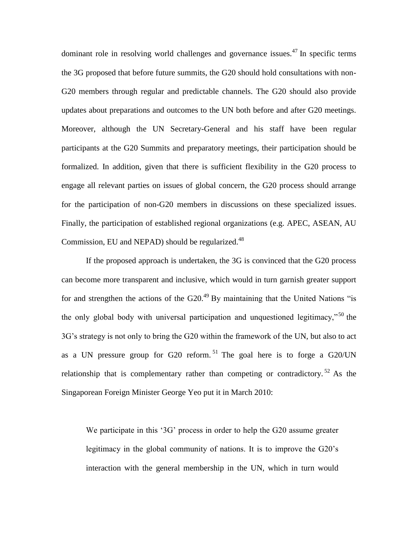dominant role in resolving world challenges and governance issues.<sup>47</sup> In specific terms the 3G proposed that before future summits, the G20 should hold consultations with non-G20 members through regular and predictable channels. The G20 should also provide updates about preparations and outcomes to the UN both before and after G20 meetings. Moreover, although the UN Secretary-General and his staff have been regular participants at the G20 Summits and preparatory meetings, their participation should be formalized. In addition, given that there is sufficient flexibility in the G20 process to engage all relevant parties on issues of global concern, the G20 process should arrange for the participation of non-G20 members in discussions on these specialized issues. Finally, the participation of established regional organizations (e.g. APEC, ASEAN, AU Commission, EU and NEPAD) should be regularized.<sup>48</sup>

If the proposed approach is undertaken, the 3G is convinced that the G20 process can become more transparent and inclusive, which would in turn garnish greater support for and strengthen the actions of the G20.<sup>49</sup> By maintaining that the United Nations "is the only global body with universal participation and unquestioned legitimacy,"<sup>50</sup> the 3G's strategy is not only to bring the G20 within the framework of the UN, but also to act as a UN pressure group for G20 reform.<sup>51</sup> The goal here is to forge a G20/UN relationship that is complementary rather than competing or contradictory.  $52$  As the Singaporean Foreign Minister George Yeo put it in March 2010:

We participate in this '3G' process in order to help the G20 assume greater legitimacy in the global community of nations. It is to improve the G20's interaction with the general membership in the UN, which in turn would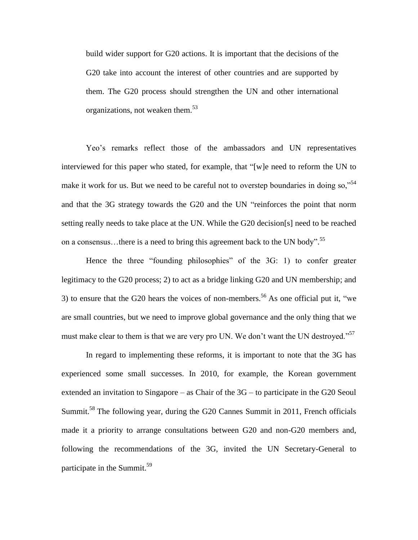build wider support for G20 actions. It is important that the decisions of the G20 take into account the interest of other countries and are supported by them. The G20 process should strengthen the UN and other international organizations, not weaken them.<sup>53</sup>

Yeo's remarks reflect those of the ambassadors and UN representatives interviewed for this paper who stated, for example, that "[w]e need to reform the UN to make it work for us. But we need to be careful not to overstep boundaries in doing so,  $^{54}$ and that the 3G strategy towards the G20 and the UN "reinforces the point that norm setting really needs to take place at the UN. While the G20 decision[s] need to be reached on a consensus...there is a need to bring this agreement back to the UN body".<sup>55</sup>

Hence the three "founding philosophies" of the 3G: 1) to confer greater legitimacy to the G20 process; 2) to act as a bridge linking G20 and UN membership; and 3) to ensure that the G20 hears the voices of non-members.<sup>56</sup> As one official put it, "we are small countries, but we need to improve global governance and the only thing that we must make clear to them is that we are very pro UN. We don't want the UN destroyed."<sup>57</sup>

In regard to implementing these reforms, it is important to note that the 3G has experienced some small successes. In 2010, for example, the Korean government extended an invitation to Singapore – as Chair of the 3G – to participate in the G20 Seoul Summit.<sup>58</sup> The following year, during the G20 Cannes Summit in 2011, French officials made it a priority to arrange consultations between G20 and non-G20 members and, following the recommendations of the 3G, invited the UN Secretary-General to participate in the Summit.<sup>59</sup>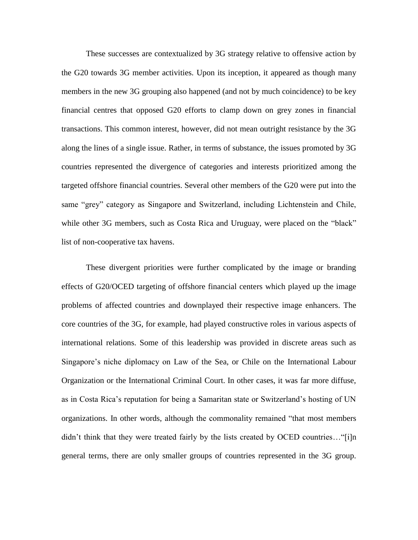These successes are contextualized by 3G strategy relative to offensive action by the G20 towards 3G member activities. Upon its inception, it appeared as though many members in the new 3G grouping also happened (and not by much coincidence) to be key financial centres that opposed G20 efforts to clamp down on grey zones in financial transactions. This common interest, however, did not mean outright resistance by the 3G along the lines of a single issue. Rather, in terms of substance, the issues promoted by 3G countries represented the divergence of categories and interests prioritized among the targeted offshore financial countries. Several other members of the G20 were put into the same "grey" category as Singapore and Switzerland, including Lichtenstein and Chile, while other 3G members, such as Costa Rica and Uruguay, were placed on the "black" list of non-cooperative tax havens.

These divergent priorities were further complicated by the image or branding effects of G20/OCED targeting of offshore financial centers which played up the image problems of affected countries and downplayed their respective image enhancers. The core countries of the 3G, for example, had played constructive roles in various aspects of international relations. Some of this leadership was provided in discrete areas such as Singapore's niche diplomacy on Law of the Sea, or Chile on the International Labour Organization or the International Criminal Court. In other cases, it was far more diffuse, as in Costa Rica's reputation for being a Samaritan state or Switzerland's hosting of UN organizations. In other words, although the commonality remained "that most members didn't think that they were treated fairly by the lists created by OCED countries..."[i]n general terms, there are only smaller groups of countries represented in the 3G group.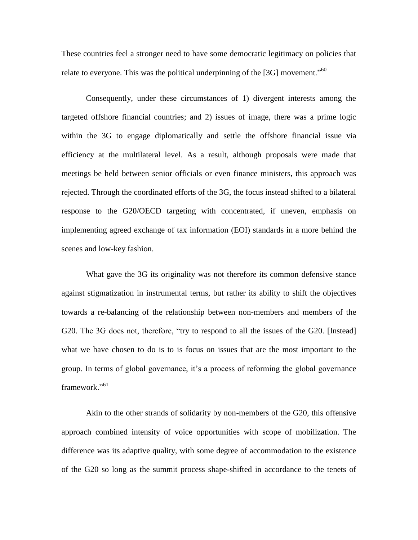These countries feel a stronger need to have some democratic legitimacy on policies that relate to everyone. This was the political underpinning of the [3G] movement."<sup>60</sup>

Consequently, under these circumstances of 1) divergent interests among the targeted offshore financial countries; and 2) issues of image, there was a prime logic within the 3G to engage diplomatically and settle the offshore financial issue via efficiency at the multilateral level. As a result, although proposals were made that meetings be held between senior officials or even finance ministers, this approach was rejected. Through the coordinated efforts of the 3G, the focus instead shifted to a bilateral response to the G20/OECD targeting with concentrated, if uneven, emphasis on implementing agreed exchange of tax information (EOI) standards in a more behind the scenes and low-key fashion.

What gave the 3G its originality was not therefore its common defensive stance against stigmatization in instrumental terms, but rather its ability to shift the objectives towards a re-balancing of the relationship between non-members and members of the G20. The 3G does not, therefore, "try to respond to all the issues of the G20. [Instead] what we have chosen to do is to is focus on issues that are the most important to the group. In terms of global governance, it's a process of reforming the global governance framework<sup>"61</sup>

Akin to the other strands of solidarity by non-members of the G20, this offensive approach combined intensity of voice opportunities with scope of mobilization. The difference was its adaptive quality, with some degree of accommodation to the existence of the G20 so long as the summit process shape-shifted in accordance to the tenets of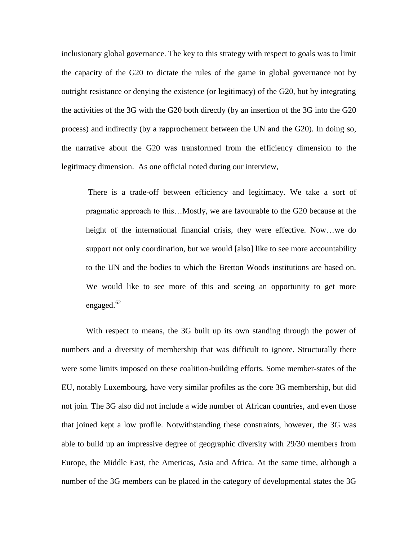inclusionary global governance. The key to this strategy with respect to goals was to limit the capacity of the G20 to dictate the rules of the game in global governance not by outright resistance or denying the existence (or legitimacy) of the G20, but by integrating the activities of the 3G with the G20 both directly (by an insertion of the 3G into the G20 process) and indirectly (by a rapprochement between the UN and the G20). In doing so, the narrative about the G20 was transformed from the efficiency dimension to the legitimacy dimension. As one official noted during our interview,

There is a trade-off between efficiency and legitimacy. We take a sort of pragmatic approach to this…Mostly, we are favourable to the G20 because at the height of the international financial crisis, they were effective. Now…we do support not only coordination, but we would [also] like to see more accountability to the UN and the bodies to which the Bretton Woods institutions are based on. We would like to see more of this and seeing an opportunity to get more engaged.<sup>62</sup>

With respect to means, the 3G built up its own standing through the power of numbers and a diversity of membership that was difficult to ignore. Structurally there were some limits imposed on these coalition-building efforts. Some member-states of the EU, notably Luxembourg, have very similar profiles as the core 3G membership, but did not join. The 3G also did not include a wide number of African countries, and even those that joined kept a low profile. Notwithstanding these constraints, however, the 3G was able to build up an impressive degree of geographic diversity with 29/30 members from Europe, the Middle East, the Americas, Asia and Africa. At the same time, although a number of the 3G members can be placed in the category of developmental states the 3G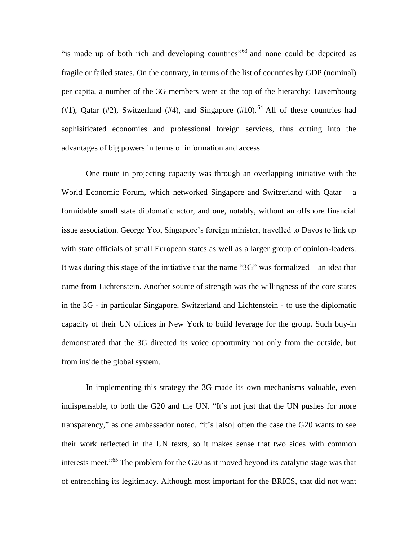"is made up of both rich and developing countries"<sup>63</sup> and none could be depcited as fragile or failed states. On the contrary, in terms of the list of countries by GDP (nominal) per capita, a number of the 3G members were at the top of the hierarchy: Luxembourg (#1), Qatar (#2), Switzerland (#4), and Singapore (#10).<sup>64</sup> All of these countries had sophisiticated economies and professional foreign services, thus cutting into the advantages of big powers in terms of information and access.

One route in projecting capacity was through an overlapping initiative with the World Economic Forum, which networked Singapore and Switzerland with Qatar – a formidable small state diplomatic actor, and one, notably, without an offshore financial issue association. George Yeo, Singapore's foreign minister, travelled to Davos to link up with state officials of small European states as well as a larger group of opinion-leaders. It was during this stage of the initiative that the name "3G" was formalized – an idea that came from Lichtenstein. Another source of strength was the willingness of the core states in the 3G - in particular Singapore, Switzerland and Lichtenstein - to use the diplomatic capacity of their UN offices in New York to build leverage for the group. Such buy-in demonstrated that the 3G directed its voice opportunity not only from the outside, but from inside the global system.

In implementing this strategy the 3G made its own mechanisms valuable, even indispensable, to both the G20 and the UN. "It's not just that the UN pushes for more transparency," as one ambassador noted, "it's [also] often the case the G20 wants to see their work reflected in the UN texts, so it makes sense that two sides with common interests meet."<sup>65</sup> The problem for the G20 as it moved beyond its catalytic stage was that of entrenching its legitimacy. Although most important for the BRICS, that did not want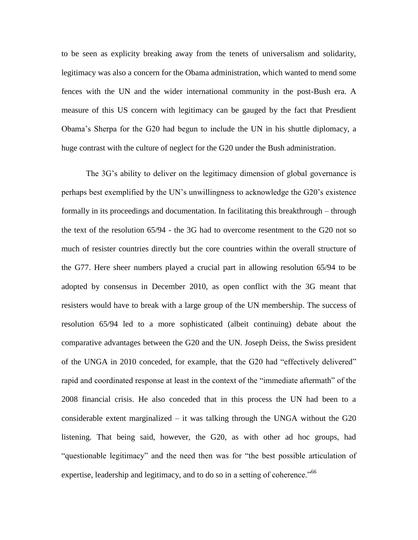to be seen as explicity breaking away from the tenets of universalism and solidarity, legitimacy was also a concern for the Obama administration, which wanted to mend some fences with the UN and the wider international community in the post-Bush era. A measure of this US concern with legitimacy can be gauged by the fact that Presdient Obama's Sherpa for the G20 had begun to include the UN in his shuttle diplomacy, a huge contrast with the culture of neglect for the G20 under the Bush administration.

The 3G's ability to deliver on the legitimacy dimension of global governance is perhaps best exemplified by the UN's unwillingness to acknowledge the G20's existence formally in its proceedings and documentation. In facilitating this breakthrough – through the text of the resolution 65/94 - the 3G had to overcome resentment to the G20 not so much of resister countries directly but the core countries within the overall structure of the G77. Here sheer numbers played a crucial part in allowing resolution 65/94 to be adopted by consensus in December 2010, as open conflict with the 3G meant that resisters would have to break with a large group of the UN membership. The success of resolution 65/94 led to a more sophisticated (albeit continuing) debate about the comparative advantages between the G20 and the UN. Joseph Deiss, the Swiss president of the UNGA in 2010 conceded, for example, that the G20 had "effectively delivered" rapid and coordinated response at least in the context of the "immediate aftermath" of the 2008 financial crisis. He also conceded that in this process the UN had been to a considerable extent marginalized  $-$  it was talking through the UNGA without the G20 listening. That being said, however, the G20, as with other ad hoc groups, had "questionable legitimacy" and the need then was for "the best possible articulation of expertise, leadership and legitimacy, and to do so in a setting of coherence."<sup>66</sup>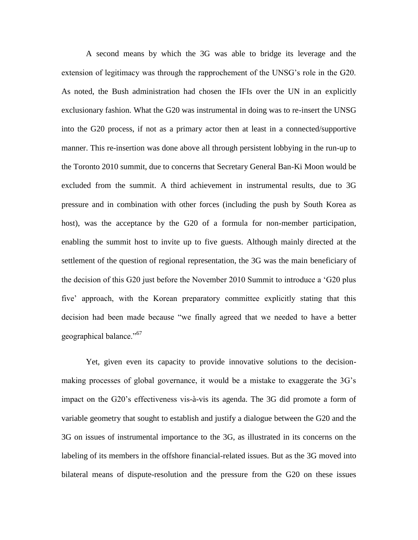A second means by which the 3G was able to bridge its leverage and the extension of legitimacy was through the rapprochement of the UNSG's role in the G20. As noted, the Bush administration had chosen the IFIs over the UN in an explicitly exclusionary fashion. What the G20 was instrumental in doing was to re-insert the UNSG into the G20 process, if not as a primary actor then at least in a connected/supportive manner. This re-insertion was done above all through persistent lobbying in the run-up to the Toronto 2010 summit, due to concerns that Secretary General Ban-Ki Moon would be excluded from the summit. A third achievement in instrumental results, due to 3G pressure and in combination with other forces (including the push by South Korea as host), was the acceptance by the G20 of a formula for non-member participation, enabling the summit host to invite up to five guests. Although mainly directed at the settlement of the question of regional representation, the 3G was the main beneficiary of the decision of this G20 just before the November 2010 Summit to introduce a 'G20 plus five' approach, with the Korean preparatory committee explicitly stating that this decision had been made because "we finally agreed that we needed to have a better geographical balance."<sup>67</sup>

Yet, given even its capacity to provide innovative solutions to the decisionmaking processes of global governance, it would be a mistake to exaggerate the 3G's impact on the G20's effectiveness vis-à-vis its agenda. The 3G did promote a form of variable geometry that sought to establish and justify a dialogue between the G20 and the 3G on issues of instrumental importance to the 3G, as illustrated in its concerns on the labeling of its members in the offshore financial-related issues. But as the 3G moved into bilateral means of dispute-resolution and the pressure from the G20 on these issues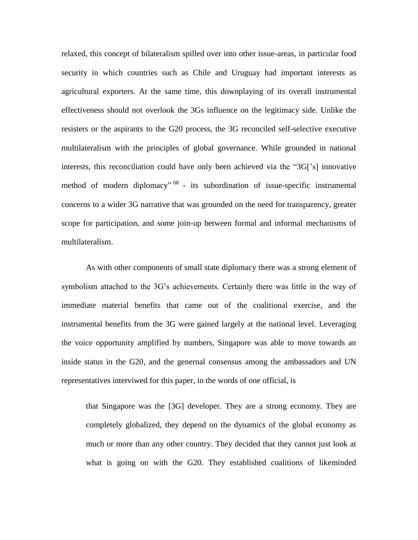relaxed, this concept of bilateralism spilled over into other issue-areas, in particular food security in which countries such as Chile and Uruguay had important interests as agricultural exporters. At the same time, this downplaying of its overall instrumental effectiveness should not overlook the 3Gs influence on the legitimacy side. Unlike the resisters or the aspirants to the G20 process, the 3G reconciled self-selective executive multilateralism with the principles of global governance. While grounded in national interests, this reconciliation could have only been achieved via the "3G['s] innovative method of modern diplomacy<sup>" 68</sup> - its subordination of issue-specific instrumental concerns to a wider 3G narrative that was grounded on the need for transparency, greater scope for participation, and some join-up between formal and informal mechanisms of multilateralism.

As with other components of small state diplomacy there was a strong element of symbolism attached to the 3G's achievements. Certainly there was little in the way of immediate material benefits that came out of the coalitional exercise, and the instrumental benefits from the 3G were gained largely at the national level. Leveraging the voice opportunity amplified by numbers, Singapore was able to move towards an inside status in the G20, and the genernal consensus among the ambassadors and UN representatives interviwed for this paper, in the words of one official, is

that Singapore was the [3G] developer. They are a strong economy. They are completely globalized, they depend on the dynamics of the global economy as much or more than any other country. They decided that they cannot just look at what is going on with the G20. They established coalitions of likeminded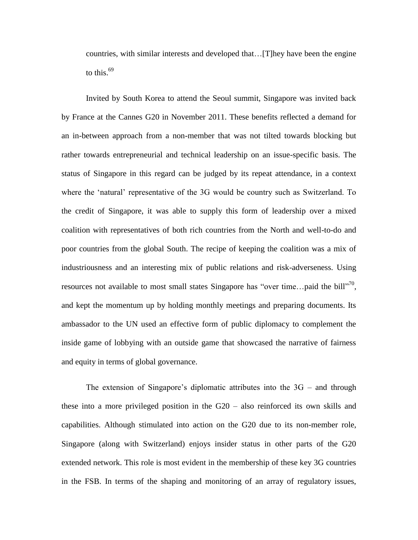countries, with similar interests and developed that…[T]hey have been the engine to this.<sup>69</sup>

Invited by South Korea to attend the Seoul summit, Singapore was invited back by France at the Cannes G20 in November 2011. These benefits reflected a demand for an in-between approach from a non-member that was not tilted towards blocking but rather towards entrepreneurial and technical leadership on an issue-specific basis. The status of Singapore in this regard can be judged by its repeat attendance, in a context where the 'natural' representative of the 3G would be country such as Switzerland. To the credit of Singapore, it was able to supply this form of leadership over a mixed coalition with representatives of both rich countries from the North and well-to-do and poor countries from the global South. The recipe of keeping the coalition was a mix of industriousness and an interesting mix of public relations and risk-adverseness. Using resources not available to most small states Singapore has "over time...paid the bill"<sup>70</sup>, and kept the momentum up by holding monthly meetings and preparing documents. Its ambassador to the UN used an effective form of public diplomacy to complement the inside game of lobbying with an outside game that showcased the narrative of fairness and equity in terms of global governance.

The extension of Singapore's diplomatic attributes into the 3G – and through these into a more privileged position in the G20 – also reinforced its own skills and capabilities. Although stimulated into action on the G20 due to its non-member role, Singapore (along with Switzerland) enjoys insider status in other parts of the G20 extended network. This role is most evident in the membership of these key 3G countries in the FSB. In terms of the shaping and monitoring of an array of regulatory issues,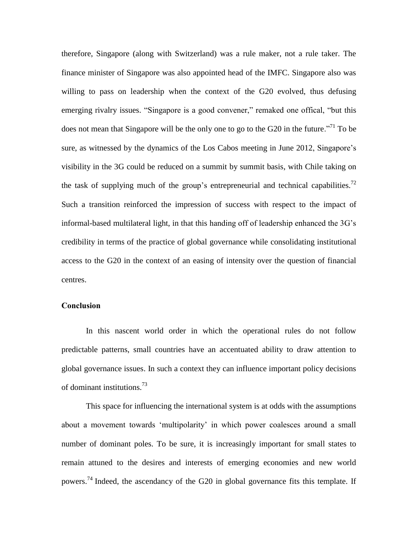therefore, Singapore (along with Switzerland) was a rule maker, not a rule taker. The finance minister of Singapore was also appointed head of the IMFC. Singapore also was willing to pass on leadership when the context of the G20 evolved, thus defusing emerging rivalry issues. "Singapore is a good convener," remaked one offical, "but this does not mean that Singapore will be the only one to go to the G20 in the future.<sup>771</sup> To be sure, as witnessed by the dynamics of the Los Cabos meeting in June 2012, Singapore's visibility in the 3G could be reduced on a summit by summit basis, with Chile taking on the task of supplying much of the group's entrepreneurial and technical capabilities.<sup>72</sup> Such a transition reinforced the impression of success with respect to the impact of informal-based multilateral light, in that this handing off of leadership enhanced the 3G's credibility in terms of the practice of global governance while consolidating institutional access to the G20 in the context of an easing of intensity over the question of financial centres.

## **Conclusion**

In this nascent world order in which the operational rules do not follow predictable patterns, small countries have an accentuated ability to draw attention to global governance issues. In such a context they can influence important policy decisions of dominant institutions.<sup>73</sup>

This space for influencing the international system is at odds with the assumptions about a movement towards 'multipolarity' in which power coalesces around a small number of dominant poles. To be sure, it is increasingly important for small states to remain attuned to the desires and interests of emerging economies and new world powers.<sup>74</sup> Indeed, the ascendancy of the G20 in global governance fits this template. If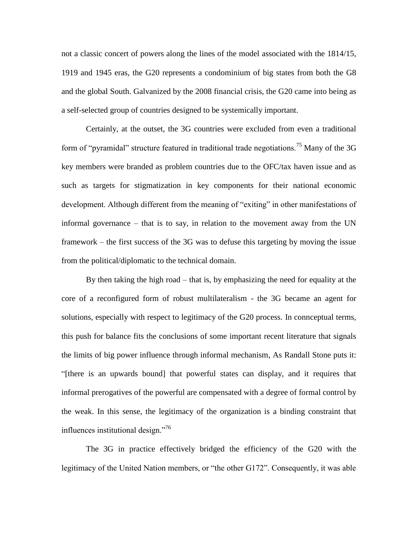not a classic concert of powers along the lines of the model associated with the 1814/15, 1919 and 1945 eras, the G20 represents a condominium of big states from both the G8 and the global South. Galvanized by the 2008 financial crisis, the G20 came into being as a self-selected group of countries designed to be systemically important.

Certainly, at the outset, the 3G countries were excluded from even a traditional form of "pyramidal" structure featured in traditional trade negotiations.<sup>75</sup> Many of the 3G key members were branded as problem countries due to the OFC/tax haven issue and as such as targets for stigmatization in key components for their national economic development. Although different from the meaning of "exiting" in other manifestations of informal governance – that is to say, in relation to the movement away from the UN framework – the first success of the 3G was to defuse this targeting by moving the issue from the political/diplomatic to the technical domain.

By then taking the high road – that is, by emphasizing the need for equality at the core of a reconfigured form of robust multilateralism - the 3G became an agent for solutions, especially with respect to legitimacy of the G20 process. In connceptual terms, this push for balance fits the conclusions of some important recent literature that signals the limits of big power influence through informal mechanism, As Randall Stone puts it: "[there is an upwards bound] that powerful states can display, and it requires that informal prerogatives of the powerful are compensated with a degree of formal control by the weak. In this sense, the legitimacy of the organization is a binding constraint that influences institutional design."<sup>76</sup>

The 3G in practice effectively bridged the efficiency of the G20 with the legitimacy of the United Nation members, or "the other G172". Consequently, it was able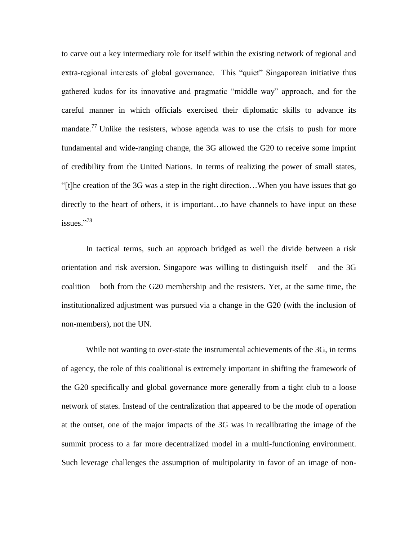to carve out a key intermediary role for itself within the existing network of regional and extra-regional interests of global governance. This "quiet" Singaporean initiative thus gathered kudos for its innovative and pragmatic "middle way" approach, and for the careful manner in which officials exercised their diplomatic skills to advance its mandate.<sup>77</sup> Unlike the resisters, whose agenda was to use the crisis to push for more fundamental and wide-ranging change, the 3G allowed the G20 to receive some imprint of credibility from the United Nations. In terms of realizing the power of small states, "[t]he creation of the 3G was a step in the right direction…When you have issues that go directly to the heart of others, it is important…to have channels to have input on these issues." 78

In tactical terms, such an approach bridged as well the divide between a risk orientation and risk aversion. Singapore was willing to distinguish itself – and the 3G coalition – both from the G20 membership and the resisters. Yet, at the same time, the institutionalized adjustment was pursued via a change in the G20 (with the inclusion of non-members), not the UN.

While not wanting to over-state the instrumental achievements of the 3G, in terms of agency, the role of this coalitional is extremely important in shifting the framework of the G20 specifically and global governance more generally from a tight club to a loose network of states. Instead of the centralization that appeared to be the mode of operation at the outset, one of the major impacts of the 3G was in recalibrating the image of the summit process to a far more decentralized model in a multi-functioning environment. Such leverage challenges the assumption of multipolarity in favor of an image of non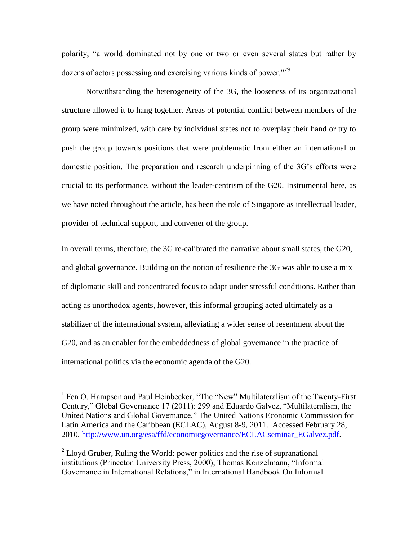polarity; "a world dominated not by one or two or even several states but rather by dozens of actors possessing and exercising various kinds of power."<sup>79</sup>

Notwithstanding the heterogeneity of the 3G, the looseness of its organizational structure allowed it to hang together. Areas of potential conflict between members of the group were minimized, with care by individual states not to overplay their hand or try to push the group towards positions that were problematic from either an international or domestic position. The preparation and research underpinning of the 3G's efforts were crucial to its performance, without the leader-centrism of the G20. Instrumental here, as we have noted throughout the article, has been the role of Singapore as intellectual leader, provider of technical support, and convener of the group.

In overall terms, therefore, the 3G re-calibrated the narrative about small states, the G20, and global governance. Building on the notion of resilience the 3G was able to use a mix of diplomatic skill and concentrated focus to adapt under stressful conditions. Rather than acting as unorthodox agents, however, this informal grouping acted ultimately as a stabilizer of the international system, alleviating a wider sense of resentment about the G20, and as an enabler for the embeddedness of global governance in the practice of international politics via the economic agenda of the G20.

 $\overline{a}$ 

<sup>&</sup>lt;sup>1</sup> Fen O. Hampson and Paul Heinbecker, "The "New" Multilateralism of the Twenty-First Century," Global Governance 17 (2011): 299 and Eduardo Galvez, "Multilateralism, the United Nations and Global Governance," The United Nations Economic Commission for Latin America and the Caribbean (ECLAC), August 8-9, 2011. Accessed February 28, 2010, [http://www.un.org/esa/ffd/economicgovernance/ECLACseminar\\_EGalvez.pdf.](http://www.un.org/esa/ffd/economicgovernance/ECLACseminar_EGalvez.pdf)

<sup>&</sup>lt;sup>2</sup> Lloyd Gruber, Ruling the World: power politics and the rise of supranational institutions (Princeton University Press, 2000); Thomas Konzelmann, "Informal Governance in International Relations," in International Handbook On Informal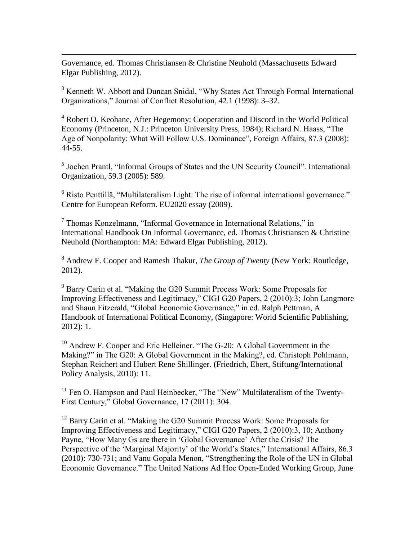Governance, ed. Thomas Christiansen & Christine Neuhold (Massachusetts Edward Elgar Publishing, 2012).

 $\overline{a}$ 

<sup>3</sup> Kenneth W. Abbott and Duncan Snidal, "Why States Act Through Formal International Organizations," Journal of Conflict Resolution, 42.1 (1998): 3–32.

<sup>4</sup> Robert O. Keohane, After Hegemony: Cooperation and Discord in the World Political Economy (Princeton, N.J.: Princeton University Press, 1984); Richard N. Haass, "The Age of Nonpolarity: What Will Follow U.S. Dominance", Foreign Affairs, 87.3 (2008): 44-55.

<sup>5</sup> Jochen Prantl, "Informal Groups of States and the UN Security Council". International Organization, 59.3 (2005): 589.

<sup>6</sup> Risto Penttillä, "Multilateralism Light: The rise of informal international governance." Centre for European Reform. EU2020 essay (2009).

7 Thomas Konzelmann, "Informal Governance in International Relations," in International Handbook On Informal Governance, ed. Thomas Christiansen & Christine Neuhold (Northampton: MA: Edward Elgar Publishing, 2012).

<sup>8</sup> Andrew F. Cooper and Ramesh Thakur, *The Group of Twenty* (New York: Routledge, 2012).

<sup>9</sup> Barry Carin et al. "Making the G20 Summit Process Work: Some Proposals for Improving Effectiveness and Legitimacy," CIGI G20 Papers, 2 (2010):3; John Langmore and Shaun Fitzerald, "Global Economic Governance," in ed. Ralph Pettman, A Handbook of International Political Economy, (Singapore: World Scientific Publishing, 2012): 1.

<sup>10</sup> Andrew F. Cooper and Eric Helleiner. "The G-20: A Global Government in the Making?" in The G20: A Global Government in the Making?, ed. Christoph Pohlmann, Stephan Reichert and Hubert Rene Shillinger. (Friedrich, Ebert, Stiftung/International Policy Analysis, 2010): 11.

<sup>11</sup> Fen O. Hampson and Paul Heinbecker, "The "New" Multilateralism of the Twenty-First Century," Global Governance, 17 (2011): 304.

 $12$  Barry Carin et al. "Making the G20 Summit Process Work: Some Proposals for Improving Effectiveness and Legitimacy," CIGI G20 Papers, 2 (2010):3, 10; Anthony Payne, "How Many Gs are there in 'Global Governance' After the Crisis? The Perspective of the 'Marginal Majority' of the World's States," International Affairs, 86.3 (2010): 730-731; and Vanu Gopala Menon, "Strengthening the Role of the UN in Global Economic Governance." The United Nations Ad Hoc Open-Ended Working Group, June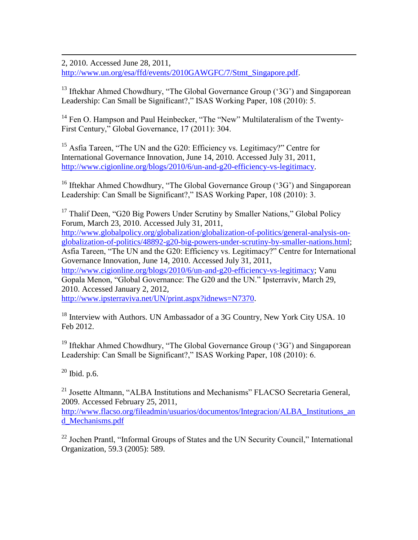2, 2010. Accessed June 28, 2011, [http://www.un.org/esa/ffd/events/2010GAWGFC/7/Stmt\\_Singapore.pdf.](http://www.un.org/esa/ffd/events/2010GAWGFC/7/Stmt_Singapore.pdf)

<sup>13</sup> Iftekhar Ahmed Chowdhury, "The Global Governance Group (' $3G$ ') and Singaporean Leadership: Can Small be Significant?," ISAS Working Paper, 108 (2010): 5.

<sup>14</sup> Fen O. Hampson and Paul Heinbecker, "The "New" Multilateralism of the Twenty-First Century," Global Governance, 17 (2011): 304.

<sup>15</sup> Asfia Tareen, "The UN and the G20: Efficiency vs. Legitimacy?" Centre for International Governance Innovation, June 14, 2010. Accessed July 31, 2011, [http://www.cigionline.org/blogs/2010/6/un-and-g20-efficiency-vs-legitimacy.](http://www.cigionline.org/blogs/2010/6/un-and-g20-efficiency-vs-legitimacy)

<sup>16</sup> Iftekhar Ahmed Chowdhury, "The Global Governance Group ('3G') and Singaporean Leadership: Can Small be Significant?," ISAS Working Paper, 108 (2010): 3.

<sup>17</sup> Thalif Deen, "G20 Big Powers Under Scrutiny by Smaller Nations," Global Policy Forum, March 23, 2010. Accessed July 31, 2011, [http://www.globalpolicy.org/globalization/globalization-of-politics/general-analysis-on](http://www.globalpolicy.org/globalization/globalization-of-politics/general-analysis-on-globalization-of-politics/48892-g20-big-powers-under-scrutiny-by-smaller-nations.html)[globalization-of-politics/48892-g20-big-powers-under-scrutiny-by-smaller-nations.html;](http://www.globalpolicy.org/globalization/globalization-of-politics/general-analysis-on-globalization-of-politics/48892-g20-big-powers-under-scrutiny-by-smaller-nations.html) Asfia Tareen, "The UN and the G20: Efficiency vs. Legitimacy?" Centre for International Governance Innovation, June 14, 2010. Accessed July 31, 2011, [http://www.cigionline.org/blogs/2010/6/un-and-g20-efficiency-vs-legitimacy;](http://www.cigionline.org/blogs/2010/6/un-and-g20-efficiency-vs-legitimacy) Vanu Gopala Menon, "Global Governance: The G20 and the UN." Ipsterraviv, March 29, 2010. Accessed January 2, 2012, [http://www.ipsterraviva.net/UN/print.aspx?idnews=N7370.](http://www.ipsterraviva.net/UN/print.aspx?idnews=N7370)

<sup>18</sup> Interview with Authors. UN Ambassador of a 3G Country, New York City USA. 10 Feb 2012.

<sup>19</sup> Iftekhar Ahmed Chowdhury, "The Global Governance Group (' $3G$ ') and Singaporean Leadership: Can Small be Significant?," ISAS Working Paper, 108 (2010): 6.

 $20$  Ibid. p.6.

 $\overline{a}$ 

<sup>21</sup> Josette Altmann, "ALBA Institutions and Mechanisms" FLACSO Secretaria General, 2009. Accessed February 25, 2011,

[http://www.flacso.org/fileadmin/usuarios/documentos/Integracion/ALBA\\_Institutions\\_an](http://www.flacso.org/fileadmin/usuarios/documentos/Integracion/ALBA_Institutions_and_Mechanisms.pdf) [d\\_Mechanisms.pdf](http://www.flacso.org/fileadmin/usuarios/documentos/Integracion/ALBA_Institutions_and_Mechanisms.pdf)

 $22$  Jochen Prantl, "Informal Groups of States and the UN Security Council," International Organization, 59.3 (2005): 589.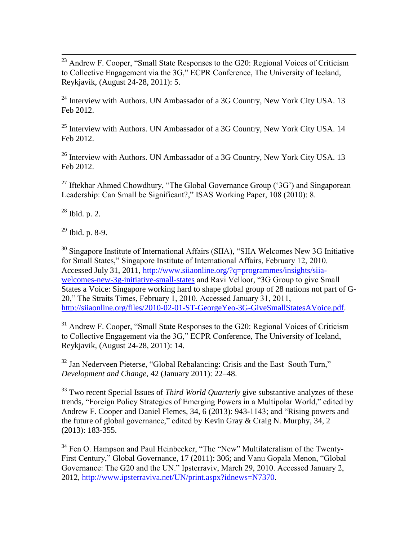$\overline{a}$  $^{23}$  Andrew F. Cooper, "Small State Responses to the G20: Regional Voices of Criticism to Collective Engagement via the 3G," ECPR Conference, The University of Iceland, Reykjavik, (August 24-28, 2011): 5.

 $24$  Interview with Authors. UN Ambassador of a 3G Country, New York City USA. 13 Feb 2012.

 $25$  Interview with Authors. UN Ambassador of a 3G Country, New York City USA. 14 Feb 2012.

 $26$  Interview with Authors. UN Ambassador of a 3G Country, New York City USA. 13 Feb 2012.

<sup>27</sup> Iftekhar Ahmed Chowdhury, "The Global Governance Group ('3G') and Singaporean Leadership: Can Small be Significant?," ISAS Working Paper, 108 (2010): 8.

<sup>28</sup> Ibid. p. 2.

 $29$  Ibid. p. 8-9.

<sup>30</sup> Singapore Institute of International Affairs (SIIA), "SIIA Welcomes New 3G Initiative for Small States," Singapore Institute of International Affairs, February 12, 2010. Accessed July 31, 2011, [http://www.siiaonline.org/?q=programmes/insights/siia](http://www.siiaonline.org/?q=programmes/insights/siia-welcomes-new-3g-initiative-small-states)[welcomes-new-3g-initiative-small-states](http://www.siiaonline.org/?q=programmes/insights/siia-welcomes-new-3g-initiative-small-states) and Ravi Velloor, "3G Group to give Small States a Voice: Singapore working hard to shape global group of 28 nations not part of G-20," The Straits Times, February 1, 2010. Accessed January 31, 2011, [http://siiaonline.org/files/2010-02-01-ST-GeorgeYeo-3G-GiveSmallStatesAVoice.pdf.](http://siiaonline.org/files/2010-02-01-ST-GeorgeYeo-3G-GiveSmallStatesAVoice.pdf)

<sup>31</sup> Andrew F. Cooper, "Small State Responses to the G20: Regional Voices of Criticism to Collective Engagement via the 3G," ECPR Conference, The University of Iceland, Reykjavik, (August 24-28, 2011): 14.

<sup>32</sup> Jan Nederveen Pieterse, "Global Rebalancing: Crisis and the East–South Turn," *Development and Change*, 42 (January 2011): 22–48.

<sup>33</sup> Two recent Special Issues of *Third World Quarterly* give substantive analyzes of these trends, "Foreign Policy Strategies of Emerging Powers in a Multipolar World," edited by Andrew F. Cooper and Daniel Flemes, 34, 6 (2013): 943-1143; and ["Rising powers and](http://www.tandfonline.com/doi/full/10.1080/01436597.2013.775778)  [the future of global governance," edited by Kevin Gray](http://www.tandfonline.com/doi/full/10.1080/01436597.2013.775778) & [Craig N. Murphy,](http://www.tandfonline.com/action/doSearch?action=runSearch&type=advanced&searchType=journal&result=true&prevSearch=%2Bauthorsfield%3A(Murphy%2C+C+N)) 34, 2 [\(2013\): 183-355.](http://www.tandfonline.com/doi/full/10.1080/01436597.2013.775778) 

<sup>34</sup> Fen O. Hampson and Paul Heinbecker, "The "New" Multilateralism of the Twenty-First Century," Global Governance, 17 (2011): 306; and Vanu Gopala Menon, "Global Governance: The G20 and the UN." Ipsterraviv, March 29, 2010. Accessed January 2, 2012, [http://www.ipsterraviva.net/UN/print.aspx?idnews=N7370.](http://www.ipsterraviva.net/UN/print.aspx?idnews=N7370)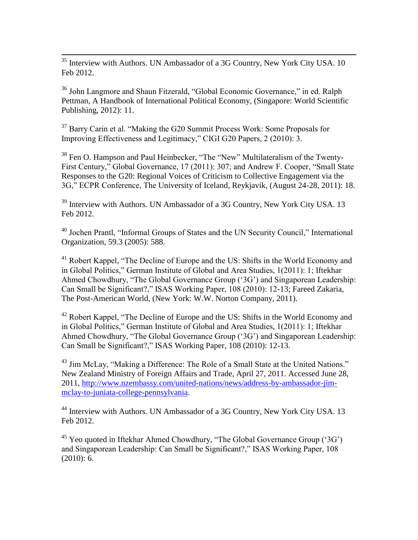$\overline{a}$  $35$  Interview with Authors. UN Ambassador of a 3G Country, New York City USA. 10 Feb 2012.

<sup>36</sup> John Langmore and Shaun Fitzerald, "Global Economic Governance," in ed. Ralph Pettman, A Handbook of International Political Economy, (Singapore: World Scientific Publishing, 2012): 11.

<sup>37</sup> Barry Carin et al. "Making the G20 Summit Process Work: Some Proposals for Improving Effectiveness and Legitimacy," CIGI G20 Papers, 2 (2010): 3.

<sup>38</sup> Fen O. Hampson and Paul Heinbecker, "The "New" Multilateralism of the Twenty-First Century," Global Governance, 17 (2011): 307; and Andrew F. Cooper, "Small State Responses to the G20: Regional Voices of Criticism to Collective Engagement via the 3G," ECPR Conference, The University of Iceland, Reykjavik, (August 24-28, 2011): 18.

 $39$  Interview with Authors. UN Ambassador of a 3G Country, New York City USA. 13 Feb 2012.

<sup>40</sup> Jochen Prantl, "Informal Groups of States and the UN Security Council," International Organization, 59.3 (2005): 588.

<sup>41</sup> Robert Kappel, "The Decline of Europe and the US: Shifts in the World Economy and in Global Politics," German Institute of Global and Area Studies, 1(2011): 1; Iftekhar Ahmed Chowdhury, "The Global Governance Group ('3G') and Singaporean Leadership: Can Small be Significant?," ISAS Working Paper, 108 (2010): 12-13; Fareed Zakaria, The Post-American World, (New York: W.W. Norton Company, 2011).

<sup>42</sup> Robert Kappel, "The Decline of Europe and the US: Shifts in the World Economy and in Global Politics," German Institute of Global and Area Studies, 1(2011): 1; Iftekhar Ahmed Chowdhury, "The Global Governance Group ('3G') and Singaporean Leadership: Can Small be Significant?," ISAS Working Paper, 108 (2010): 12-13.

<sup>43</sup> Jim McLay, "Making a Difference: The Role of a Small State at the United Nations." New Zealand Ministry of Foreign Affairs and Trade, April 27, 2011. Accessed June 28, 2011, [http://www.nzembassy.com/united-nations/news/address-by-ambassador-jim](http://www.nzembassy.com/united-nations/news/address-by-ambassador-jim-mclay-to-juniata-college-pennsylvania)[mclay-to-juniata-college-pennsylvania.](http://www.nzembassy.com/united-nations/news/address-by-ambassador-jim-mclay-to-juniata-college-pennsylvania)

<sup>44</sup> Interview with Authors. UN Ambassador of a 3G Country, New York City USA. 13 Feb 2012.

<sup>45</sup> Yeo quoted in Iftekhar Ahmed Chowdhury, "The Global Governance Group ('3G') and Singaporean Leadership: Can Small be Significant?," ISAS Working Paper, 108 (2010): 6.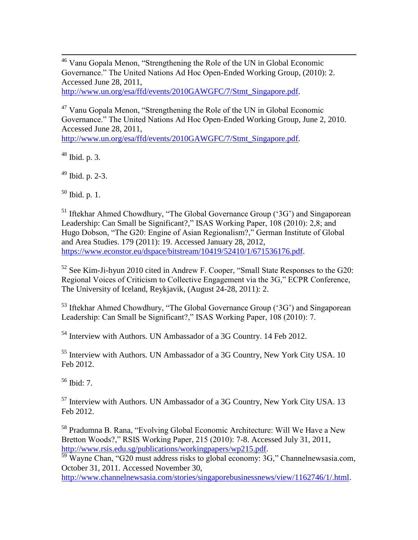$\overline{a}$ <sup>46</sup> Vanu Gopala Menon, "Strengthening the Role of the UN in Global Economic Governance." The United Nations Ad Hoc Open-Ended Working Group, (2010): 2. Accessed June 28, 2011,

[http://www.un.org/esa/ffd/events/2010GAWGFC/7/Stmt\\_Singapore.pdf.](http://www.un.org/esa/ffd/events/2010GAWGFC/7/Stmt_Singapore.pdf)

<sup>47</sup> Vanu Gopala Menon, "Strengthening the Role of the UN in Global Economic Governance." The United Nations Ad Hoc Open-Ended Working Group, June 2, 2010. Accessed June 28, 2011,

[http://www.un.org/esa/ffd/events/2010GAWGFC/7/Stmt\\_Singapore.pdf.](http://www.un.org/esa/ffd/events/2010GAWGFC/7/Stmt_Singapore.pdf)

<sup>48</sup> Ibid. p. 3.

<sup>49</sup> Ibid. p. 2-3.

 $50$  Ibid. p. 1.

<sup>51</sup> Iftekhar Ahmed Chowdhury, "The Global Governance Group ('3G') and Singaporean Leadership: Can Small be Significant?," ISAS Working Paper, 108 (2010): 2,8; and Hugo Dobson, "The G20: Engine of Asian Regionalism?," German Institute of Global and Area Studies. 179 (2011): 19. Accessed January 28, 2012, [https://www.econstor.eu/dspace/bitstream/10419/52410/1/671536176.pdf.](https://www.econstor.eu/dspace/bitstream/10419/52410/1/671536176.pdf)

<sup>52</sup> See Kim-Ji-hyun 2010 cited in Andrew F. Cooper, "Small State Responses to the G20: Regional Voices of Criticism to Collective Engagement via the 3G," ECPR Conference, The University of Iceland, Reykjavik, (August 24-28, 2011): 2.

 $53$  Iftekhar Ahmed Chowdhury, "The Global Governance Group ('3G') and Singaporean Leadership: Can Small be Significant?," ISAS Working Paper, 108 (2010): 7.

<sup>54</sup> Interview with Authors. UN Ambassador of a 3G Country. 14 Feb 2012.

 $55$  Interview with Authors. UN Ambassador of a 3G Country, New York City USA. 10 Feb 2012.

 $56$  Ibid:  $7<sup>56</sup>$ 

<sup>57</sup> Interview with Authors. UN Ambassador of a 3G Country, New York City USA. 13 Feb 2012.

<sup>58</sup> Pradumna B. Rana, "Evolving Global Economic Architecture: Will We Have a New Bretton Woods?," RSIS Working Paper, 215 (2010): 7-8. Accessed July 31, 2011, [http://www.rsis.edu.sg/publications/workingpapers/wp215.pdf.](http://www.rsis.edu.sg/publications/workingpapers/wp215.pdf)

<sup>59</sup> Wayne Chan, "G20 must address risks to global economy: 3G," Channelnewsasia.com, October 31, 2011. Accessed November 30,

[http://www.channelnewsasia.com/stories/singaporebusinessnews/view/1162746/1/.html.](http://www.channelnewsasia.com/stories/singaporebusinessnews/view/1162746/1/.html)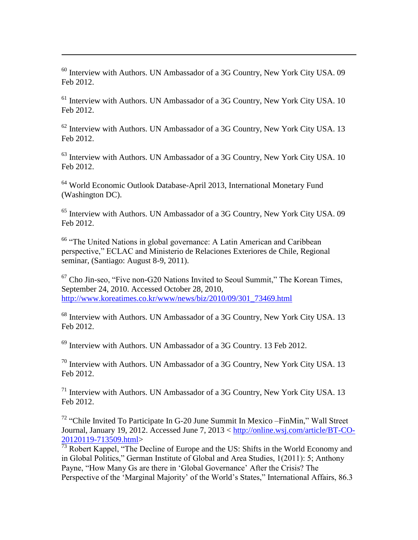$60$  Interview with Authors. UN Ambassador of a 3G Country, New York City USA, 09 Feb 2012.

 $\overline{a}$ 

 $61$  Interview with Authors. UN Ambassador of a 3G Country, New York City USA. 10 Feb 2012.

<sup>62</sup> Interview with Authors. UN Ambassador of a 3G Country, New York City USA. 13 Feb 2012.

 $63$  Interview with Authors. UN Ambassador of a 3G Country, New York City USA. 10 Feb 2012.

<sup>64</sup> World Economic Outlook Database-April 2013, International Monetary Fund (Washington DC).

<sup>65</sup> Interview with Authors. UN Ambassador of a 3G Country, New York City USA. 09 Feb 2012.

<sup>66</sup> "The United Nations in global governance: A Latin American and Caribbean perspective," ECLAC and Ministerio de Relaciones Exteriores de Chile, Regional seminar, (Santiago: August 8-9, 2011).

 $67$  Cho Jin-seo, "Five non-G20 Nations Invited to Seoul Summit," The Korean Times, September 24, 2010. Accessed October 28, 2010, [http://www.koreatimes.co.kr/www/news/biz/2010/09/301\\_73469.html](http://www.koreatimes.co.kr/www/news/biz/2010/09/301_73469.html)

<sup>68</sup> Interview with Authors. UN Ambassador of a 3G Country, New York City USA. 13 Feb 2012.

 $69$  Interview with Authors. UN Ambassador of a 3G Country. 13 Feb 2012.

 $70$  Interview with Authors. UN Ambassador of a 3G Country, New York City USA. 13 Feb 2012.

 $71$  Interview with Authors. UN Ambassador of a 3G Country, New York City USA, 13 Feb 2012.

<sup>72</sup> "Chile Invited To Participate In G-20 June Summit In Mexico –FinMin," Wall Street Journal, January 19, 2012. Accessed June 7, 2013 < [http://online.wsj.com/article/BT-CO-](http://online.wsj.com/article/BT-CO-20120119-713509.html)[20120119-713509.html>](http://online.wsj.com/article/BT-CO-20120119-713509.html)

 $\frac{1}{73}$  Robert Kappel, "The Decline of Europe and the US: Shifts in the World Economy and in Global Politics," German Institute of Global and Area Studies, 1(2011): 5; Anthony Payne, "How Many Gs are there in 'Global Governance' After the Crisis? The Perspective of the 'Marginal Majority' of the World's States," International Affairs, 86.3